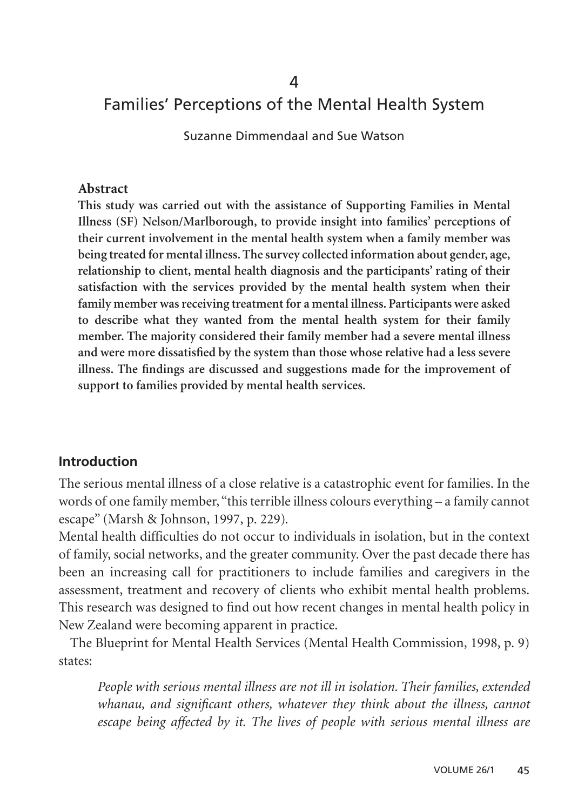#### 4

### Families' Perceptions of the Mental Health System

Suzanne Dimmendaal and Sue Watson

#### **Abstract**

**This study was carried out with the assistance of Supporting Families in Mental Illness (SF) Nelson/Marlborough, to provide insight into families' perceptions of their current involvement in the mental health system when a family member was being treated for mental illness. The survey collected information about gender, age, relationship to client, mental health diagnosis and the participants' rating of their satisfaction with the services provided by the mental health system when their family member was receiving treatment for a mental illness. Participants were asked to describe what they wanted from the mental health system for their family member. The majority considered their family member had a severe mental illness and were more dissatisfied by the system than those whose relative had a less severe illness. The findings are discussed and suggestions made for the improvement of support to families provided by mental health services.**

#### **Introduction**

The serious mental illness of a close relative is a catastrophic event for families. In the words of one family member, "this terrible illness colours everything – a family cannot escape" (Marsh & Johnson, 1997, p. 229).

Mental health difficulties do not occur to individuals in isolation, but in the context of family, social networks, and the greater community. Over the past decade there has been an increasing call for practitioners to include families and caregivers in the assessment, treatment and recovery of clients who exhibit mental health problems. This research was designed to find out how recent changes in mental health policy in New Zealand were becoming apparent in practice.

The Blueprint for Mental Health Services (Mental Health Commission, 1998, p. 9) states:

*People with serious mental illness are not ill in isolation. Their families, extended whanau, and significant others, whatever they think about the illness, cannot escape being affected by it. The lives of people with serious mental illness are*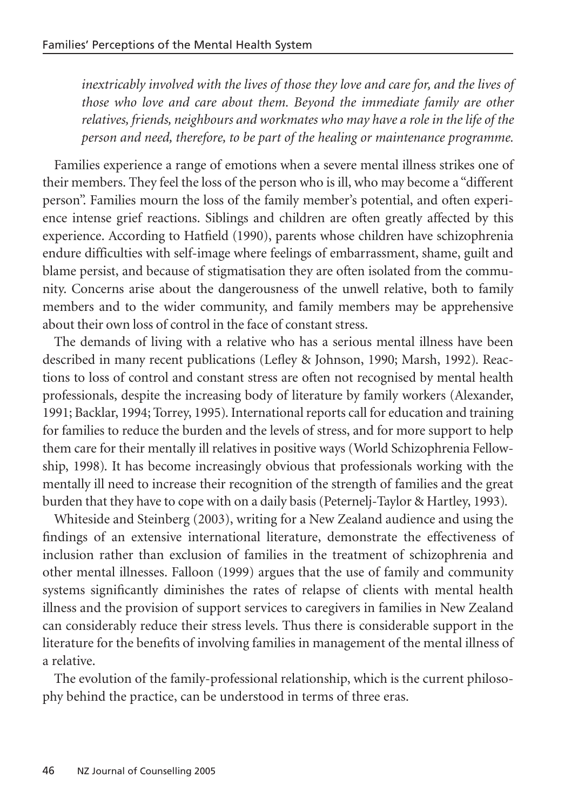*inextricably involved with the lives of those they love and care for, and the lives of those who love and care about them. Beyond the immediate family are other relatives, friends, neighbours and workmates who may have a role in the life of the person and need, therefore, to be part of the healing or maintenance programme.*

Families experience a range of emotions when a severe mental illness strikes one of their members. They feel the loss of the person who is ill, who may become a "different person". Families mourn the loss of the family member's potential, and often experience intense grief reactions. Siblings and children are often greatly affected by this experience. According to Hatfield (1990), parents whose children have schizophrenia endure difficulties with self-image where feelings of embarrassment, shame, guilt and blame persist, and because of stigmatisation they are often isolated from the community. Concerns arise about the dangerousness of the unwell relative, both to family members and to the wider community, and family members may be apprehensive about their own loss of control in the face of constant stress.

The demands of living with a relative who has a serious mental illness have been described in many recent publications (Lefley & Johnson, 1990; Marsh, 1992). Reactions to loss of control and constant stress are often not recognised by mental health professionals, despite the increasing body of literature by family workers (Alexander, 1991; Backlar, 1994; Torrey, 1995). International reports call for education and training for families to reduce the burden and the levels of stress, and for more support to help them care for their mentally ill relatives in positive ways (World Schizophrenia Fellowship, 1998). It has become increasingly obvious that professionals working with the mentally ill need to increase their recognition of the strength of families and the great burden that they have to cope with on a daily basis (Peternelj-Taylor & Hartley, 1993).

Whiteside and Steinberg (2003), writing for a New Zealand audience and using the findings of an extensive international literature, demonstrate the effectiveness of inclusion rather than exclusion of families in the treatment of schizophrenia and other mental illnesses. Falloon (1999) argues that the use of family and community systems significantly diminishes the rates of relapse of clients with mental health illness and the provision of support services to caregivers in families in New Zealand can considerably reduce their stress levels. Thus there is considerable support in the literature for the benefits of involving families in management of the mental illness of a relative.

The evolution of the family-professional relationship, which is the current philosophy behind the practice, can be understood in terms of three eras.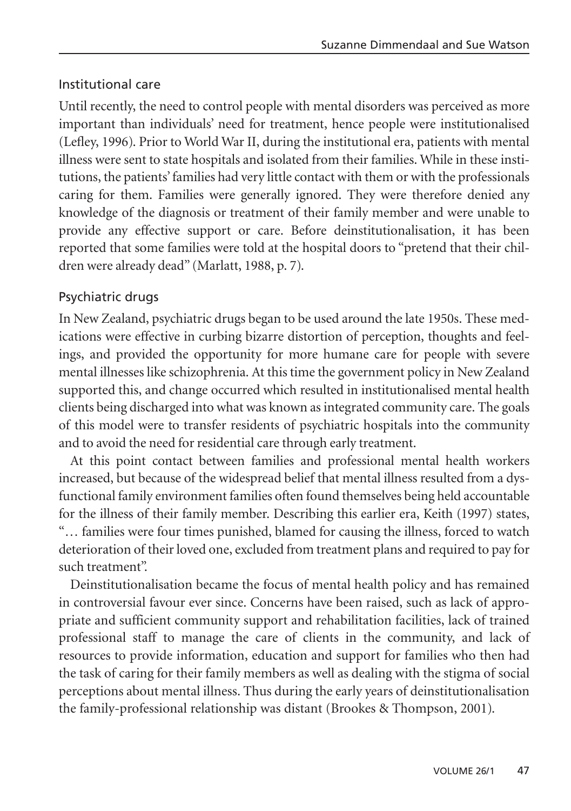## Institutional care

Until recently, the need to control people with mental disorders was perceived as more important than individuals' need for treatment, hence people were institutionalised (Lefley, 1996). Prior to World War II, during the institutional era, patients with mental illness were sent to state hospitals and isolated from their families. While in these institutions, the patients' families had very little contact with them or with the professionals caring for them. Families were generally ignored. They were therefore denied any knowledge of the diagnosis or treatment of their family member and were unable to provide any effective support or care. Before deinstitutionalisation, it has been reported that some families were told at the hospital doors to "pretend that their children were already dead" (Marlatt, 1988, p. 7).

## Psychiatric drugs

In New Zealand, psychiatric drugs began to be used around the late 1950s. These medications were effective in curbing bizarre distortion of perception, thoughts and feelings, and provided the opportunity for more humane care for people with severe mental illnesses like schizophrenia. At this time the government policy in New Zealand supported this, and change occurred which resulted in institutionalised mental health clients being discharged into what was known as integrated community care. The goals of this model were to transfer residents of psychiatric hospitals into the community and to avoid the need for residential care through early treatment.

At this point contact between families and professional mental health workers increased, but because of the widespread belief that mental illness resulted from a dysfunctional family environment families often found themselves being held accountable for the illness of their family member. Describing this earlier era, Keith (1997) states, "… families were four times punished, blamed for causing the illness, forced to watch deterioration of their loved one, excluded from treatment plans and required to pay for such treatment".

Deinstitutionalisation became the focus of mental health policy and has remained in controversial favour ever since. Concerns have been raised, such as lack of appropriate and sufficient community support and rehabilitation facilities, lack of trained professional staff to manage the care of clients in the community, and lack of resources to provide information, education and support for families who then had the task of caring for their family members as well as dealing with the stigma of social perceptions about mental illness. Thus during the early years of deinstitutionalisation the family-professional relationship was distant (Brookes & Thompson, 2001).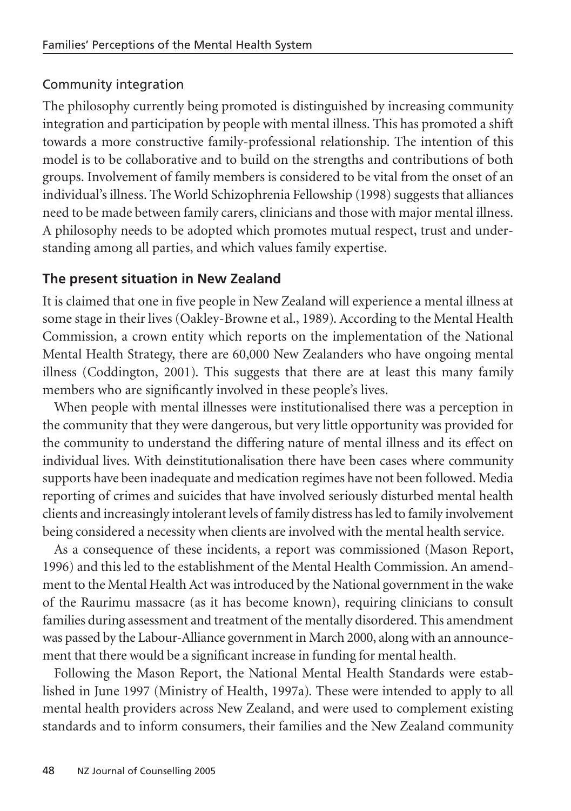## Community integration

The philosophy currently being promoted is distinguished by increasing community integration and participation by people with mental illness. This has promoted a shift towards a more constructive family-professional relationship. The intention of this model is to be collaborative and to build on the strengths and contributions of both groups. Involvement of family members is considered to be vital from the onset of an individual's illness. The World Schizophrenia Fellowship (1998) suggests that alliances need to be made between family carers, clinicians and those with major mental illness. A philosophy needs to be adopted which promotes mutual respect, trust and understanding among all parties, and which values family expertise.

## **The present situation in New Zealand**

It is claimed that one in five people in New Zealand will experience a mental illness at some stage in their lives (Oakley-Browne et al., 1989). According to the Mental Health Commission, a crown entity which reports on the implementation of the National Mental Health Strategy, there are 60,000 New Zealanders who have ongoing mental illness (Coddington, 2001). This suggests that there are at least this many family members who are significantly involved in these people's lives.

When people with mental illnesses were institutionalised there was a perception in the community that they were dangerous, but very little opportunity was provided for the community to understand the differing nature of mental illness and its effect on individual lives. With deinstitutionalisation there have been cases where community supports have been inadequate and medication regimes have not been followed. Media reporting of crimes and suicides that have involved seriously disturbed mental health clients and increasingly intolerant levels of family distress has led to family involvement being considered a necessity when clients are involved with the mental health service.

As a consequence of these incidents, a report was commissioned (Mason Report, 1996) and this led to the establishment of the Mental Health Commission. An amendment to the Mental Health Act was introduced by the National government in the wake of the Raurimu massacre (as it has become known), requiring clinicians to consult families during assessment and treatment of the mentally disordered. This amendment was passed by the Labour-Alliance government in March 2000, along with an announcement that there would be a significant increase in funding for mental health.

Following the Mason Report, the National Mental Health Standards were established in June 1997 (Ministry of Health, 1997a). These were intended to apply to all mental health providers across New Zealand, and were used to complement existing standards and to inform consumers, their families and the New Zealand community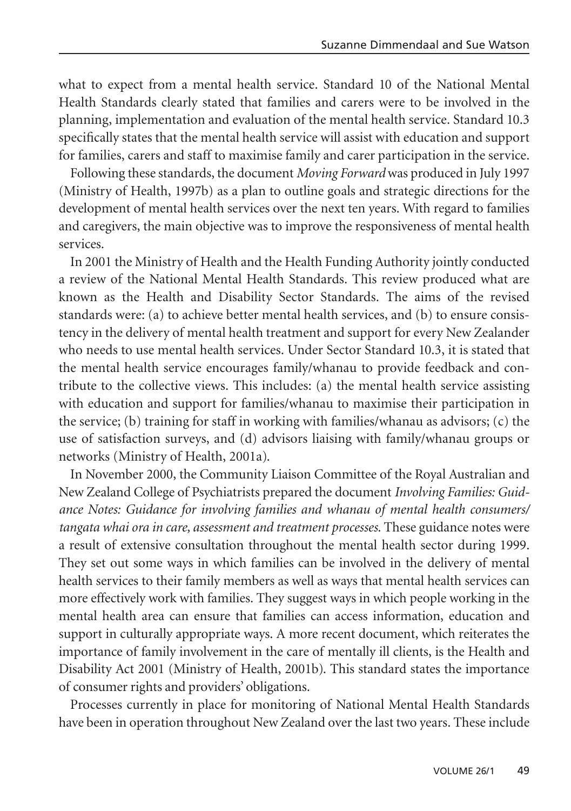what to expect from a mental health service. Standard 10 of the National Mental Health Standards clearly stated that families and carers were to be involved in the planning, implementation and evaluation of the mental health service. Standard 10.3 specifically states that the mental health service will assist with education and support for families, carers and staff to maximise family and carer participation in the service.

Following these standards, the document *Moving Forward* was produced in July 1997 (Ministry of Health, 1997b) as a plan to outline goals and strategic directions for the development of mental health services over the next ten years. With regard to families and caregivers, the main objective was to improve the responsiveness of mental health services.

In 2001 the Ministry of Health and the Health Funding Authority jointly conducted a review of the National Mental Health Standards. This review produced what are known as the Health and Disability Sector Standards. The aims of the revised standards were: (a) to achieve better mental health services, and (b) to ensure consistency in the delivery of mental health treatment and support for every New Zealander who needs to use mental health services. Under Sector Standard 10.3, it is stated that the mental health service encourages family/whanau to provide feedback and contribute to the collective views. This includes: (a) the mental health service assisting with education and support for families/whanau to maximise their participation in the service; (b) training for staff in working with families/whanau as advisors; (c) the use of satisfaction surveys, and (d) advisors liaising with family/whanau groups or networks (Ministry of Health, 2001a).

In November 2000, the Community Liaison Committee of the Royal Australian and New Zealand College of Psychiatrists prepared the document *Involving Families: Guidance Notes: Guidance for involving families and whanau of mental health consumers/ tangata whai ora in care, assessment and treatment processes*. These guidance notes were a result of extensive consultation throughout the mental health sector during 1999. They set out some ways in which families can be involved in the delivery of mental health services to their family members as well as ways that mental health services can more effectively work with families. They suggest ways in which people working in the mental health area can ensure that families can access information, education and support in culturally appropriate ways. A more recent document, which reiterates the importance of family involvement in the care of mentally ill clients, is the Health and Disability Act 2001 (Ministry of Health, 2001b). This standard states the importance of consumer rights and providers' obligations.

Processes currently in place for monitoring of National Mental Health Standards have been in operation throughout New Zealand over the last two years. These include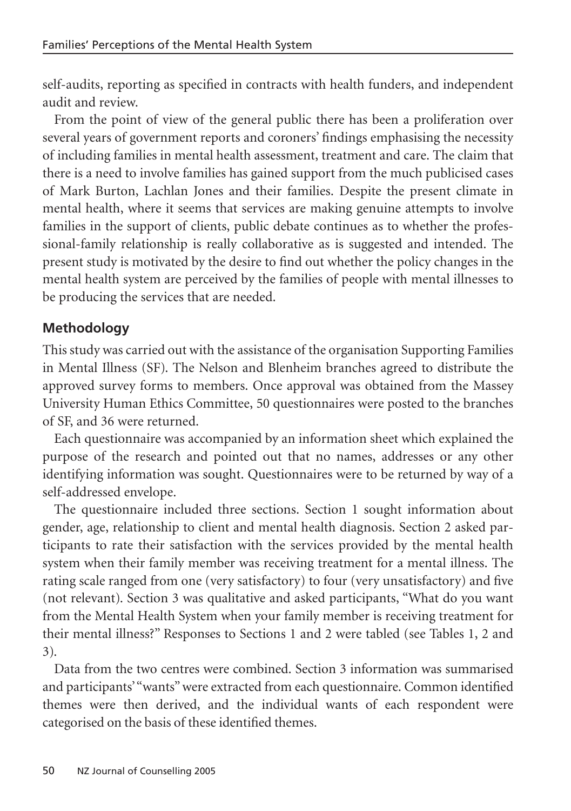self-audits, reporting as specified in contracts with health funders, and independent audit and review.

From the point of view of the general public there has been a proliferation over several years of government reports and coroners' findings emphasising the necessity of including families in mental health assessment, treatment and care. The claim that there is a need to involve families has gained support from the much publicised cases of Mark Burton, Lachlan Jones and their families. Despite the present climate in mental health, where it seems that services are making genuine attempts to involve families in the support of clients, public debate continues as to whether the professional-family relationship is really collaborative as is suggested and intended. The present study is motivated by the desire to find out whether the policy changes in the mental health system are perceived by the families of people with mental illnesses to be producing the services that are needed.

## **Methodology**

This study was carried out with the assistance of the organisation Supporting Families in Mental Illness (SF). The Nelson and Blenheim branches agreed to distribute the approved survey forms to members. Once approval was obtained from the Massey University Human Ethics Committee, 50 questionnaires were posted to the branches of SF, and 36 were returned.

Each questionnaire was accompanied by an information sheet which explained the purpose of the research and pointed out that no names, addresses or any other identifying information was sought. Questionnaires were to be returned by way of a self-addressed envelope.

The questionnaire included three sections. Section 1 sought information about gender, age, relationship to client and mental health diagnosis. Section 2 asked participants to rate their satisfaction with the services provided by the mental health system when their family member was receiving treatment for a mental illness. The rating scale ranged from one (very satisfactory) to four (very unsatisfactory) and five (not relevant). Section 3 was qualitative and asked participants, "What do you want from the Mental Health System when your family member is receiving treatment for their mental illness?" Responses to Sections 1 and 2 were tabled (see Tables 1, 2 and 3).

Data from the two centres were combined. Section 3 information was summarised and participants'"wants" were extracted from each questionnaire. Common identified themes were then derived, and the individual wants of each respondent were categorised on the basis of these identified themes.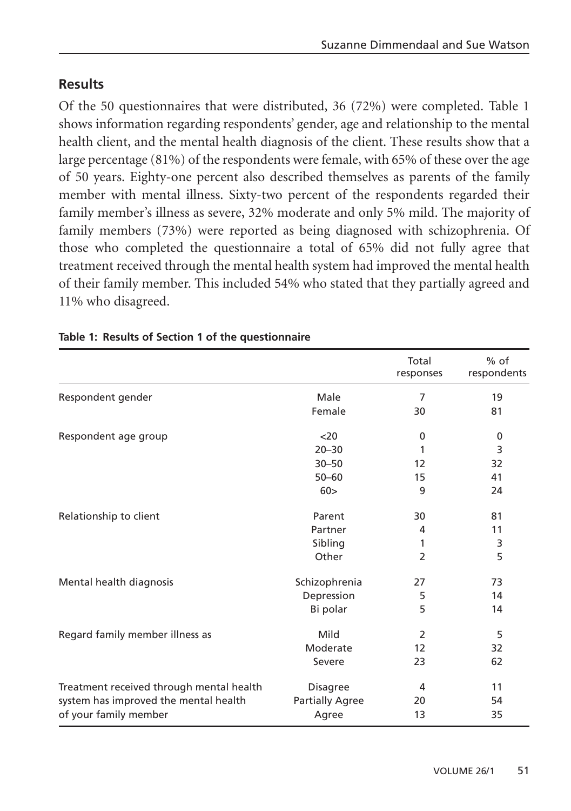## **Results**

Of the 50 questionnaires that were distributed, 36 (72%) were completed. Table 1 shows information regarding respondents' gender, age and relationship to the mental health client, and the mental health diagnosis of the client. These results show that a large percentage (81%) of the respondents were female, with 65% of these over the age of 50 years. Eighty-one percent also described themselves as parents of the family member with mental illness. Sixty-two percent of the respondents regarded their family member's illness as severe, 32% moderate and only 5% mild. The majority of family members (73%) were reported as being diagnosed with schizophrenia. Of those who completed the questionnaire a total of 65% did not fully agree that treatment received through the mental health system had improved the mental health of their family member. This included 54% who stated that they partially agreed and 11% who disagreed.

|                                          |                        | Total<br>responses | $%$ of<br>respondents |
|------------------------------------------|------------------------|--------------------|-----------------------|
| Respondent gender                        | Male                   | 7                  | 19                    |
|                                          | Female                 | 30                 | 81                    |
| Respondent age group                     | $<$ 20                 | 0                  | 0                     |
|                                          | $20 - 30$              | 1                  | 3                     |
|                                          | $30 - 50$              | 12                 | 32                    |
|                                          | $50 - 60$              | 15                 | 41                    |
|                                          | 60>                    | 9                  | 24                    |
| Relationship to client                   | Parent                 | 30                 | 81                    |
|                                          | Partner                | 4                  | 11                    |
|                                          | Sibling                | 1                  | 3                     |
|                                          | Other                  | 2                  | 5                     |
| Mental health diagnosis                  | Schizophrenia          | 27                 | 73                    |
|                                          | Depression             | 5                  | 14                    |
|                                          | Bi polar               | 5                  | 14                    |
| Regard family member illness as          | Mild                   | $\mathcal{P}$      | 5                     |
|                                          | Moderate               | 12                 | 32                    |
|                                          | Severe                 | 23                 | 62                    |
| Treatment received through mental health | <b>Disagree</b>        | 4                  | 11                    |
| system has improved the mental health    | <b>Partially Agree</b> | 20                 | 54                    |
| of your family member                    | Agree                  | 13                 | 35                    |

#### **Table 1: Results of Section 1 of the questionnaire**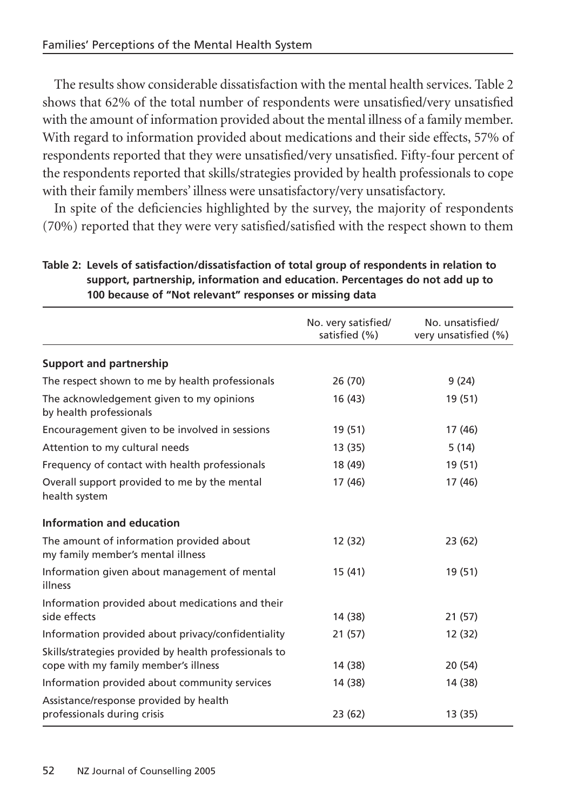The results show considerable dissatisfaction with the mental health services. Table 2 shows that 62% of the total number of respondents were unsatisfied/very unsatisfied with the amount of information provided about the mental illness of a family member. With regard to information provided about medications and their side effects, 57% of respondents reported that they were unsatisfied/very unsatisfied. Fifty-four percent of the respondents reported that skills/strategies provided by health professionals to cope with their family members' illness were unsatisfactory/very unsatisfactory.

In spite of the deficiencies highlighted by the survey, the majority of respondents (70%) reported that they were very satisfied/satisfied with the respect shown to them

|                                                                                               | No. very satisfied/<br>satisfied (%) | No. unsatisfied/<br>very unsatisfied (%) |
|-----------------------------------------------------------------------------------------------|--------------------------------------|------------------------------------------|
| <b>Support and partnership</b>                                                                |                                      |                                          |
| The respect shown to me by health professionals                                               | 26 (70)                              | 9(24)                                    |
| The acknowledgement given to my opinions<br>by health professionals                           | 16 (43)                              | 19 (51)                                  |
| Encouragement given to be involved in sessions                                                | 19 (51)                              | 17 (46)                                  |
| Attention to my cultural needs                                                                | 13 (35)                              | 5(14)                                    |
| Frequency of contact with health professionals                                                | 18 (49)                              | 19 (51)                                  |
| Overall support provided to me by the mental<br>health system                                 | 17 (46)                              | 17 (46)                                  |
| Information and education                                                                     |                                      |                                          |
| The amount of information provided about<br>my family member's mental illness                 | 12 (32)                              | 23 (62)                                  |
| Information given about management of mental<br>illness                                       | 15(41)                               | 19 (51)                                  |
| Information provided about medications and their<br>side effects                              | 14 (38)                              | 21 (57)                                  |
| Information provided about privacy/confidentiality                                            | 21(57)                               | 12 (32)                                  |
| Skills/strategies provided by health professionals to<br>cope with my family member's illness | 14 (38)                              | 20 (54)                                  |
| Information provided about community services                                                 | 14 (38)                              | 14 (38)                                  |
| Assistance/response provided by health<br>professionals during crisis                         | 23 (62)                              | 13 (35)                                  |

**Table 2: Levels of satisfaction/dissatisfaction of total group of respondents in relation to support, partnership, information and education. Percentages do not add up to 100 because of "Not relevant" responses or missing data**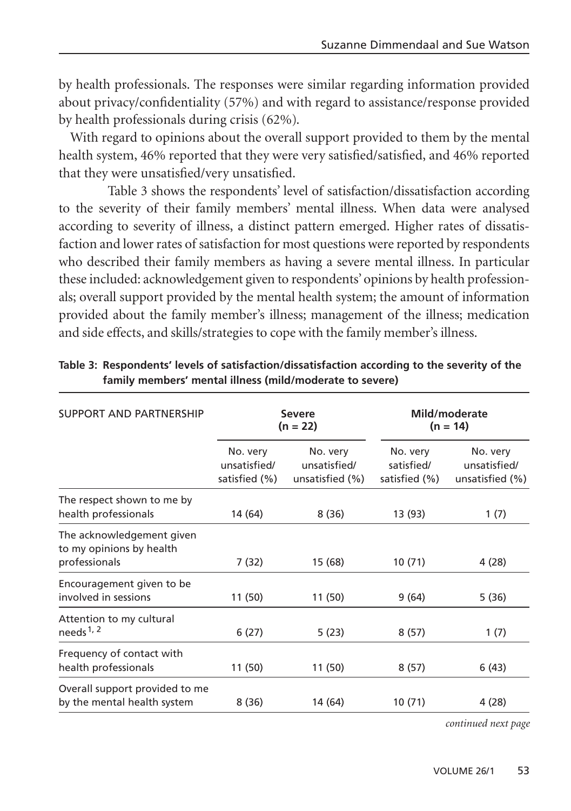by health professionals. The responses were similar regarding information provided about privacy/confidentiality (57%) and with regard to assistance/response provided by health professionals during crisis (62%).

With regard to opinions about the overall support provided to them by the mental health system, 46% reported that they were very satisfied/satisfied, and 46% reported that they were unsatisfied/very unsatisfied.

Table 3 shows the respondents' level of satisfaction/dissatisfaction according to the severity of their family members' mental illness. When data were analysed according to severity of illness, a distinct pattern emerged. Higher rates of dissatisfaction and lower rates of satisfaction for most questions were reported by respondents who described their family members as having a severe mental illness. In particular these included: acknowledgement given to respondents' opinions by health professionals; overall support provided by the mental health system; the amount of information provided about the family member's illness; management of the illness; medication and side effects, and skills/strategies to cope with the family member's illness.

| SUPPORT AND PARTNERSHIP                                                | <b>Severe</b><br>$(n = 22)$               |                                             | Mild/moderate<br>$(n = 14)$             |                                             |
|------------------------------------------------------------------------|-------------------------------------------|---------------------------------------------|-----------------------------------------|---------------------------------------------|
|                                                                        | No. very<br>unsatisfied/<br>satisfied (%) | No. very<br>unsatisfied/<br>unsatisfied (%) | No. very<br>satisfied/<br>satisfied (%) | No. very<br>unsatisfied/<br>unsatisfied (%) |
| The respect shown to me by<br>health professionals                     | 14 (64)                                   | 8(36)                                       | 13 (93)                                 | 1(7)                                        |
| The acknowledgement given<br>to my opinions by health<br>professionals | 7(32)                                     | 15 (68)                                     | 10(71)                                  | 4 (28)                                      |
| Encouragement given to be<br>involved in sessions                      | 11 (50)                                   | 11 (50)                                     | 9(64)                                   | 5(36)                                       |
| Attention to my cultural<br>needs <sup>1, 2</sup>                      | 6(27)                                     | 5(23)                                       | 8(57)                                   | 1(7)                                        |
| Frequency of contact with<br>health professionals                      | 11 (50)                                   | 11 (50)                                     | 8(57)                                   | 6(43)                                       |
| Overall support provided to me<br>by the mental health system          | 8(36)                                     | 14 (64)                                     | 10(71)                                  | 4 (28)                                      |

| Table 3: Respondents' levels of satisfaction/dissatisfaction according to the severity of the |
|-----------------------------------------------------------------------------------------------|
| family members' mental illness (mild/moderate to severe)                                      |

*continued next page*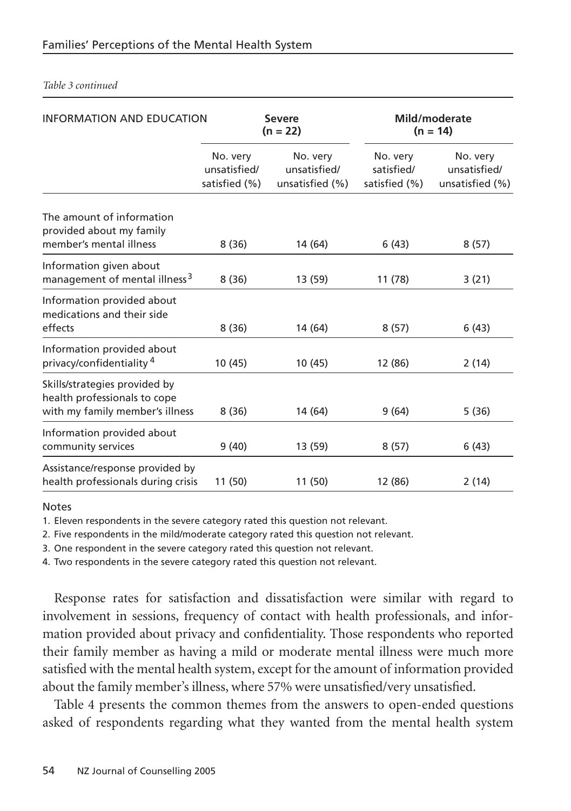| INFORMATION AND EDUCATION                                                                        |                                           | <b>Severe</b><br>$(n = 22)$                 |                                         | Mild/moderate<br>$(n = 14)$                 |  |
|--------------------------------------------------------------------------------------------------|-------------------------------------------|---------------------------------------------|-----------------------------------------|---------------------------------------------|--|
|                                                                                                  | No. very<br>unsatisfied/<br>satisfied (%) | No. very<br>unsatisfied/<br>unsatisfied (%) | No. very<br>satisfied/<br>satisfied (%) | No. very<br>unsatisfied/<br>unsatisfied (%) |  |
| The amount of information<br>provided about my family<br>member's mental illness                 | 8(36)                                     | 14 (64)                                     | 6(43)                                   | 8(57)                                       |  |
| Information given about<br>management of mental illness <sup>3</sup>                             | 8(36)                                     | 13 (59)                                     | 11 (78)                                 | 3(21)                                       |  |
| Information provided about<br>medications and their side<br>effects                              | 8(36)                                     | 14 (64)                                     | 8(57)                                   | 6(43)                                       |  |
| Information provided about<br>privacy/confidentiality <sup>4</sup>                               | 10 (45)                                   | 10 (45)                                     | 12 (86)                                 | 2(14)                                       |  |
| Skills/strategies provided by<br>health professionals to cope<br>with my family member's illness | 8(36)                                     | 14 (64)                                     | 9(64)                                   | 5(36)                                       |  |
| Information provided about<br>community services                                                 | 9(40)                                     | 13 (59)                                     | 8(57)                                   | 6(43)                                       |  |
| Assistance/response provided by<br>health professionals during crisis                            | 11 (50)                                   | 11 (50)                                     | 12 (86)                                 | 2(14)                                       |  |

#### *Table 3 continued*

Notes

1. Eleven respondents in the severe category rated this question not relevant.

2. Five respondents in the mild/moderate category rated this question not relevant.

3. One respondent in the severe category rated this question not relevant.

4. Two respondents in the severe category rated this question not relevant.

Response rates for satisfaction and dissatisfaction were similar with regard to involvement in sessions, frequency of contact with health professionals, and information provided about privacy and confidentiality. Those respondents who reported their family member as having a mild or moderate mental illness were much more satisfied with the mental health system, except for the amount of information provided about the family member's illness, where 57% were unsatisfied/very unsatisfied.

Table 4 presents the common themes from the answers to open-ended questions asked of respondents regarding what they wanted from the mental health system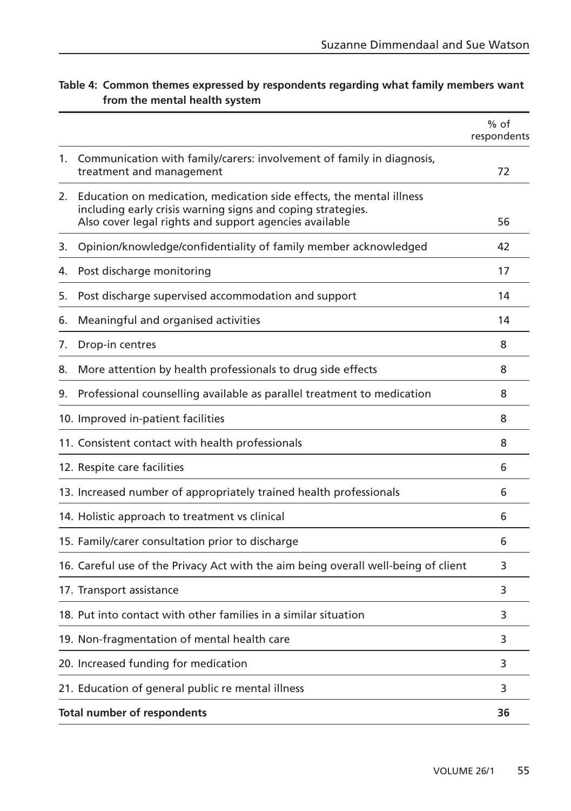|    |                                                                                                                                                                                               | $%$ of<br>respondents |
|----|-----------------------------------------------------------------------------------------------------------------------------------------------------------------------------------------------|-----------------------|
| 1. | Communication with family/carers: involvement of family in diagnosis,<br>treatment and management                                                                                             | 72                    |
| 2. | Education on medication, medication side effects, the mental illness<br>including early crisis warning signs and coping strategies.<br>Also cover legal rights and support agencies available | 56                    |
| 3. | Opinion/knowledge/confidentiality of family member acknowledged                                                                                                                               | 42                    |
| 4. | Post discharge monitoring                                                                                                                                                                     | 17                    |
| 5. | Post discharge supervised accommodation and support                                                                                                                                           | 14                    |
| 6. | Meaningful and organised activities                                                                                                                                                           | 14                    |
| 7. | Drop-in centres                                                                                                                                                                               | 8                     |
| 8. | More attention by health professionals to drug side effects                                                                                                                                   | 8                     |
| 9. | Professional counselling available as parallel treatment to medication                                                                                                                        | 8                     |
|    | 10. Improved in-patient facilities                                                                                                                                                            | 8                     |
|    | 11. Consistent contact with health professionals                                                                                                                                              | 8                     |
|    | 12. Respite care facilities                                                                                                                                                                   | 6                     |
|    | 13. Increased number of appropriately trained health professionals                                                                                                                            | 6                     |
|    | 14. Holistic approach to treatment vs clinical                                                                                                                                                | 6                     |
|    | 15. Family/carer consultation prior to discharge                                                                                                                                              | 6                     |
|    | 16. Careful use of the Privacy Act with the aim being overall well-being of client                                                                                                            | 3                     |
|    | 17. Transport assistance                                                                                                                                                                      | 3                     |
|    | 18. Put into contact with other families in a similar situation                                                                                                                               | 3                     |
|    | 19. Non-fragmentation of mental health care                                                                                                                                                   | 3                     |
|    | 20. Increased funding for medication                                                                                                                                                          | 3                     |
|    | 21. Education of general public re mental illness                                                                                                                                             | 3                     |
|    | Total number of respondents                                                                                                                                                                   | 36                    |

#### **Table 4: Common themes expressed by respondents regarding what family members want from the mental health system**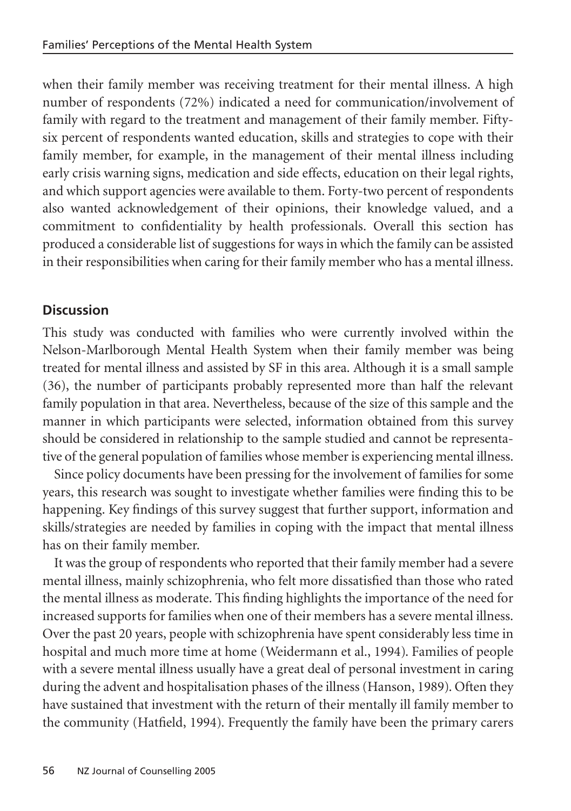when their family member was receiving treatment for their mental illness. A high number of respondents (72%) indicated a need for communication/involvement of family with regard to the treatment and management of their family member. Fiftysix percent of respondents wanted education, skills and strategies to cope with their family member, for example, in the management of their mental illness including early crisis warning signs, medication and side effects, education on their legal rights, and which support agencies were available to them. Forty-two percent of respondents also wanted acknowledgement of their opinions, their knowledge valued, and a commitment to confidentiality by health professionals. Overall this section has produced a considerable list of suggestions for ways in which the family can be assisted in their responsibilities when caring for their family member who has a mental illness.

#### **Discussion**

This study was conducted with families who were currently involved within the Nelson-Marlborough Mental Health System when their family member was being treated for mental illness and assisted by SF in this area. Although it is a small sample (36), the number of participants probably represented more than half the relevant family population in that area. Nevertheless, because of the size of this sample and the manner in which participants were selected, information obtained from this survey should be considered in relationship to the sample studied and cannot be representative of the general population of families whose member is experiencing mental illness.

Since policy documents have been pressing for the involvement of families for some years, this research was sought to investigate whether families were finding this to be happening. Key findings of this survey suggest that further support, information and skills/strategies are needed by families in coping with the impact that mental illness has on their family member.

It was the group of respondents who reported that their family member had a severe mental illness, mainly schizophrenia, who felt more dissatisfied than those who rated the mental illness as moderate. This finding highlights the importance of the need for increased supports for families when one of their members has a severe mental illness. Over the past 20 years, people with schizophrenia have spent considerably less time in hospital and much more time at home (Weidermann et al., 1994). Families of people with a severe mental illness usually have a great deal of personal investment in caring during the advent and hospitalisation phases of the illness (Hanson, 1989). Often they have sustained that investment with the return of their mentally ill family member to the community (Hatfield, 1994). Frequently the family have been the primary carers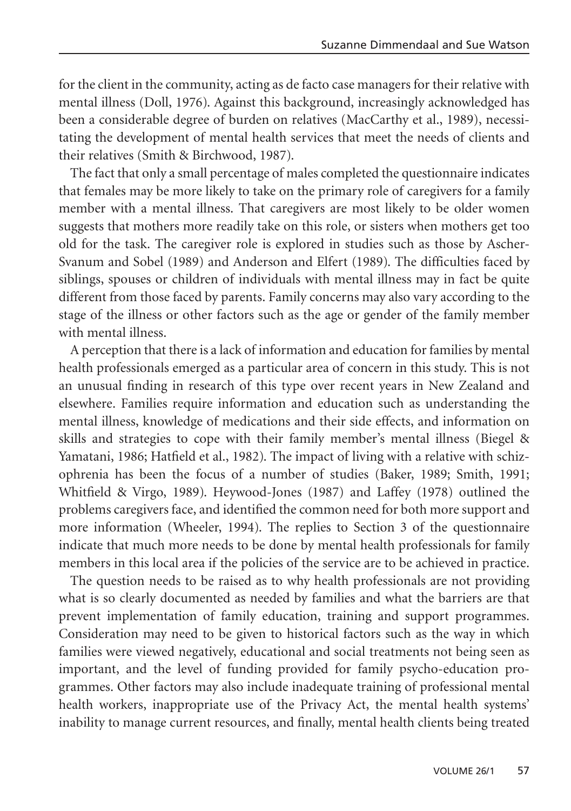for the client in the community, acting as de facto case managers for their relative with mental illness (Doll, 1976). Against this background, increasingly acknowledged has been a considerable degree of burden on relatives (MacCarthy et al., 1989), necessitating the development of mental health services that meet the needs of clients and their relatives (Smith & Birchwood, 1987).

The fact that only a small percentage of males completed the questionnaire indicates that females may be more likely to take on the primary role of caregivers for a family member with a mental illness. That caregivers are most likely to be older women suggests that mothers more readily take on this role, or sisters when mothers get too old for the task. The caregiver role is explored in studies such as those by Ascher-Svanum and Sobel (1989) and Anderson and Elfert (1989). The difficulties faced by siblings, spouses or children of individuals with mental illness may in fact be quite different from those faced by parents. Family concerns may also vary according to the stage of the illness or other factors such as the age or gender of the family member with mental illness.

A perception that there is a lack of information and education for families by mental health professionals emerged as a particular area of concern in this study. This is not an unusual finding in research of this type over recent years in New Zealand and elsewhere. Families require information and education such as understanding the mental illness, knowledge of medications and their side effects, and information on skills and strategies to cope with their family member's mental illness (Biegel & Yamatani, 1986; Hatfield et al., 1982). The impact of living with a relative with schizophrenia has been the focus of a number of studies (Baker, 1989; Smith, 1991; Whitfield & Virgo, 1989). Heywood-Jones (1987) and Laffey (1978) outlined the problems caregivers face, and identified the common need for both more support and more information (Wheeler, 1994). The replies to Section 3 of the questionnaire indicate that much more needs to be done by mental health professionals for family members in this local area if the policies of the service are to be achieved in practice.

The question needs to be raised as to why health professionals are not providing what is so clearly documented as needed by families and what the barriers are that prevent implementation of family education, training and support programmes. Consideration may need to be given to historical factors such as the way in which families were viewed negatively, educational and social treatments not being seen as important, and the level of funding provided for family psycho-education programmes. Other factors may also include inadequate training of professional mental health workers, inappropriate use of the Privacy Act, the mental health systems' inability to manage current resources, and finally, mental health clients being treated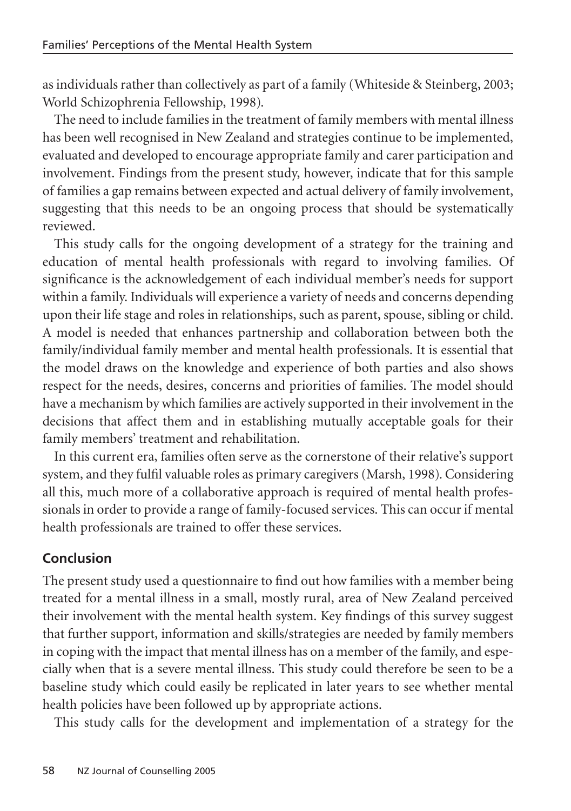as individuals rather than collectively as part of a family (Whiteside & Steinberg, 2003; World Schizophrenia Fellowship, 1998).

The need to include families in the treatment of family members with mental illness has been well recognised in New Zealand and strategies continue to be implemented, evaluated and developed to encourage appropriate family and carer participation and involvement. Findings from the present study, however, indicate that for this sample of families a gap remains between expected and actual delivery of family involvement, suggesting that this needs to be an ongoing process that should be systematically reviewed.

This study calls for the ongoing development of a strategy for the training and education of mental health professionals with regard to involving families. Of significance is the acknowledgement of each individual member's needs for support within a family. Individuals will experience a variety of needs and concerns depending upon their life stage and roles in relationships, such as parent, spouse, sibling or child. A model is needed that enhances partnership and collaboration between both the family/individual family member and mental health professionals. It is essential that the model draws on the knowledge and experience of both parties and also shows respect for the needs, desires, concerns and priorities of families. The model should have a mechanism by which families are actively supported in their involvement in the decisions that affect them and in establishing mutually acceptable goals for their family members' treatment and rehabilitation.

In this current era, families often serve as the cornerstone of their relative's support system, and they fulfil valuable roles as primary caregivers (Marsh, 1998). Considering all this, much more of a collaborative approach is required of mental health professionals in order to provide a range of family-focused services. This can occur if mental health professionals are trained to offer these services.

# **Conclusion**

The present study used a questionnaire to find out how families with a member being treated for a mental illness in a small, mostly rural, area of New Zealand perceived their involvement with the mental health system. Key findings of this survey suggest that further support, information and skills/strategies are needed by family members in coping with the impact that mental illness has on a member of the family, and especially when that is a severe mental illness. This study could therefore be seen to be a baseline study which could easily be replicated in later years to see whether mental health policies have been followed up by appropriate actions.

This study calls for the development and implementation of a strategy for the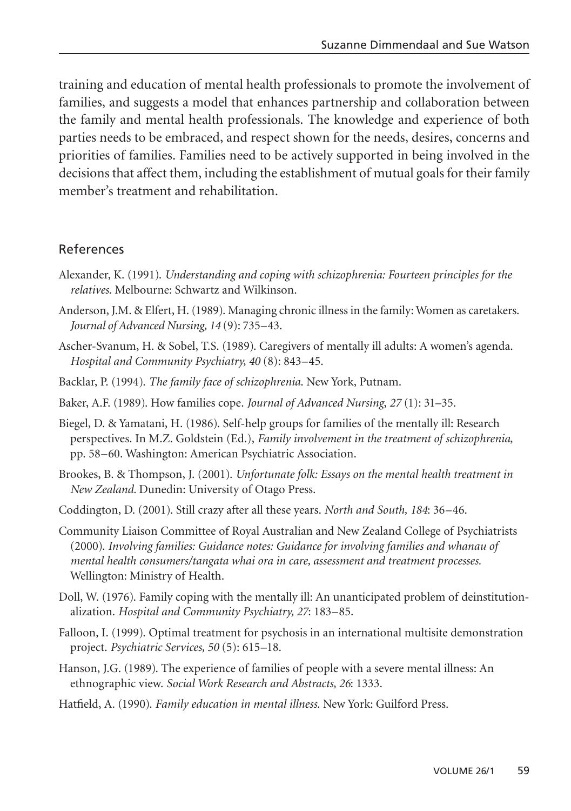training and education of mental health professionals to promote the involvement of families, and suggests a model that enhances partnership and collaboration between the family and mental health professionals. The knowledge and experience of both parties needs to be embraced, and respect shown for the needs, desires, concerns and priorities of families. Families need to be actively supported in being involved in the decisions that affect them, including the establishment of mutual goals for their family member's treatment and rehabilitation.

#### References

- Alexander, K. (1991). *Understanding and coping with schizophrenia: Fourteen principles for the relatives*. Melbourne: Schwartz and Wilkinson.
- Anderson, J.M. & Elfert, H. (1989). Managing chronic illness in the family: Women as caretakers. *Journal of Advanced Nursing, 14* (9): 735–43.
- Ascher-Svanum, H. & Sobel, T.S. (1989). Caregivers of mentally ill adults: A women's agenda. *Hospital and Community Psychiatry, 40* (8): 843–45.
- Backlar, P. (1994). *The family face of schizophrenia*. New York, Putnam.
- Baker, A.F. (1989). How families cope. *Journal of Advanced Nursing*, *27* (1): 31–35.
- Biegel, D. & Yamatani, H. (1986). Self-help groups for families of the mentally ill: Research perspectives. In M.Z. Goldstein (Ed.), *Family involvement in the treatment of schizophrenia*, pp. 58–60. Washington: American Psychiatric Association.
- Brookes, B. & Thompson, J. (2001). *Unfortunate folk: Essays on the mental health treatment in New Zealand.* Dunedin: University of Otago Press.
- Coddington, D. (2001). Still crazy after all these years. *North and South, 184*: 36–46.
- Community Liaison Committee of Royal Australian and New Zealand College of Psychiatrists (2000). *Involving families: Guidance notes: Guidance for involving families and whanau of mental health consumers/tangata whai ora in care, assessment and treatment processes.* Wellington: Ministry of Health.
- Doll, W. (1976). Family coping with the mentally ill: An unanticipated problem of deinstitutionalization. *Hospital and Community Psychiatry, 27*: 183–85.
- Falloon, I. (1999). Optimal treatment for psychosis in an international multisite demonstration project. *Psychiatric Services, 50* (5): 615–18.
- Hanson, J.G. (1989). The experience of families of people with a severe mental illness: An ethnographic view. *Social Work Research and Abstracts, 26*: 1333.
- Hatfield, A. (1990). *Family education in mental illness*. New York: Guilford Press.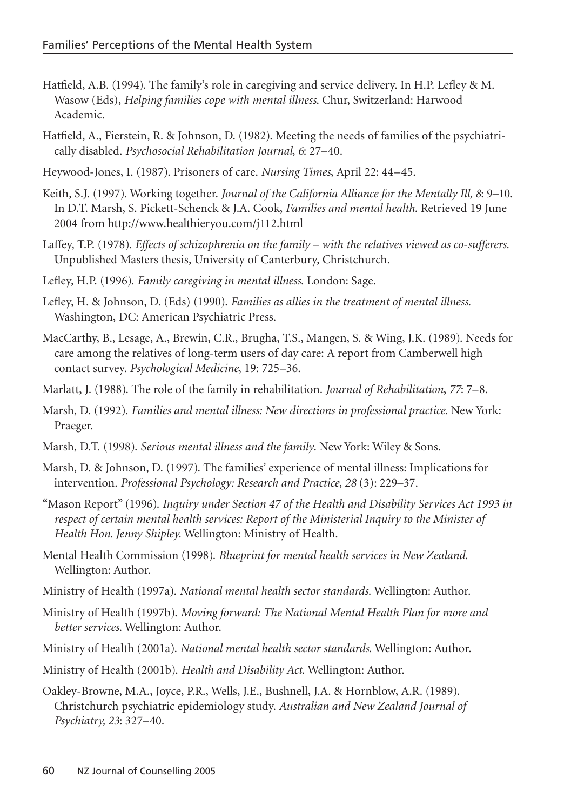- Hatfield, A.B. (1994). The family's role in caregiving and service delivery. In H.P. Lefley & M. Wasow (Eds), *Helping families cope with mental illness*. Chur, Switzerland: Harwood Academic.
- Hatfield, A., Fierstein, R. & Johnson, D. (1982). Meeting the needs of families of the psychiatrically disabled. *Psychosocial Rehabilitation Journal, 6*: 27–40.
- Heywood-Jones, I. (1987). Prisoners of care. *Nursing Times*, April 22: 44–45.
- Keith, S.J. (1997). Working together. *Journal of the California Alliance for the Mentally Ill, 8*: 9–10. In D.T. Marsh, S. Pickett-Schenck & J.A. Cook, *Families and mental health*. Retrieved 19 June 2004 from http://www.healthieryou.com/j112.html
- Laffey, T.P. (1978). *Effects of schizophrenia on the family with the relatives viewed as co-sufferers.* Unpublished Masters thesis, University of Canterbury, Christchurch.
- Lefley, H.P. (1996). *Family caregiving in mental illness*. London: Sage.
- Lefley, H. & Johnson, D. (Eds) (1990). *Families as allies in the treatment of mental illness*. Washington, DC: American Psychiatric Press.
- MacCarthy, B., Lesage, A., Brewin, C.R., Brugha, T.S., Mangen, S. & Wing, J.K. (1989). Needs for care among the relatives of long-term users of day care: A report from Camberwell high contact survey. *Psychological Medicine*, 19: 725–36.
- Marlatt, J. (1988). The role of the family in rehabilitation. *Journal of Rehabilitation*, *77*: 7–8.
- Marsh, D. (1992). *Families and mental illness: New directions in professional practice*. New York: Praeger.
- Marsh, D.T. (1998). *Serious mental illness and the family*. New York: Wiley & Sons.
- Marsh, D. & Johnson, D. (1997). The families' experience of mental illness: Implications for intervention. *Professional Psychology: Research and Practice, 28* (3): 229–37.
- "Mason Report" (1996). *Inquiry under Section 47 of the Health and Disability Services Act 1993 in respect of certain mental health services: Report of the Ministerial Inquiry to the Minister of Health Hon. Jenny Shipley.* Wellington: Ministry of Health.
- Mental Health Commission (1998). *Blueprint for mental health services in New Zealand*. Wellington: Author.
- Ministry of Health (1997a). *National mental health sector standards*. Wellington: Author.
- Ministry of Health (1997b). *Moving forward: The National Mental Health Plan for more and better services.* Wellington: Author.
- Ministry of Health (2001a). *National mental health sector standards*. Wellington: Author.
- Ministry of Health (2001b). *Health and Disability Act*. Wellington: Author.
- Oakley-Browne, M.A., Joyce, P.R., Wells, J.E., Bushnell, J.A. & Hornblow, A.R. (1989). Christchurch psychiatric epidemiology study. *Australian and New Zealand Journal of Psychiatry, 23*: 327–40.